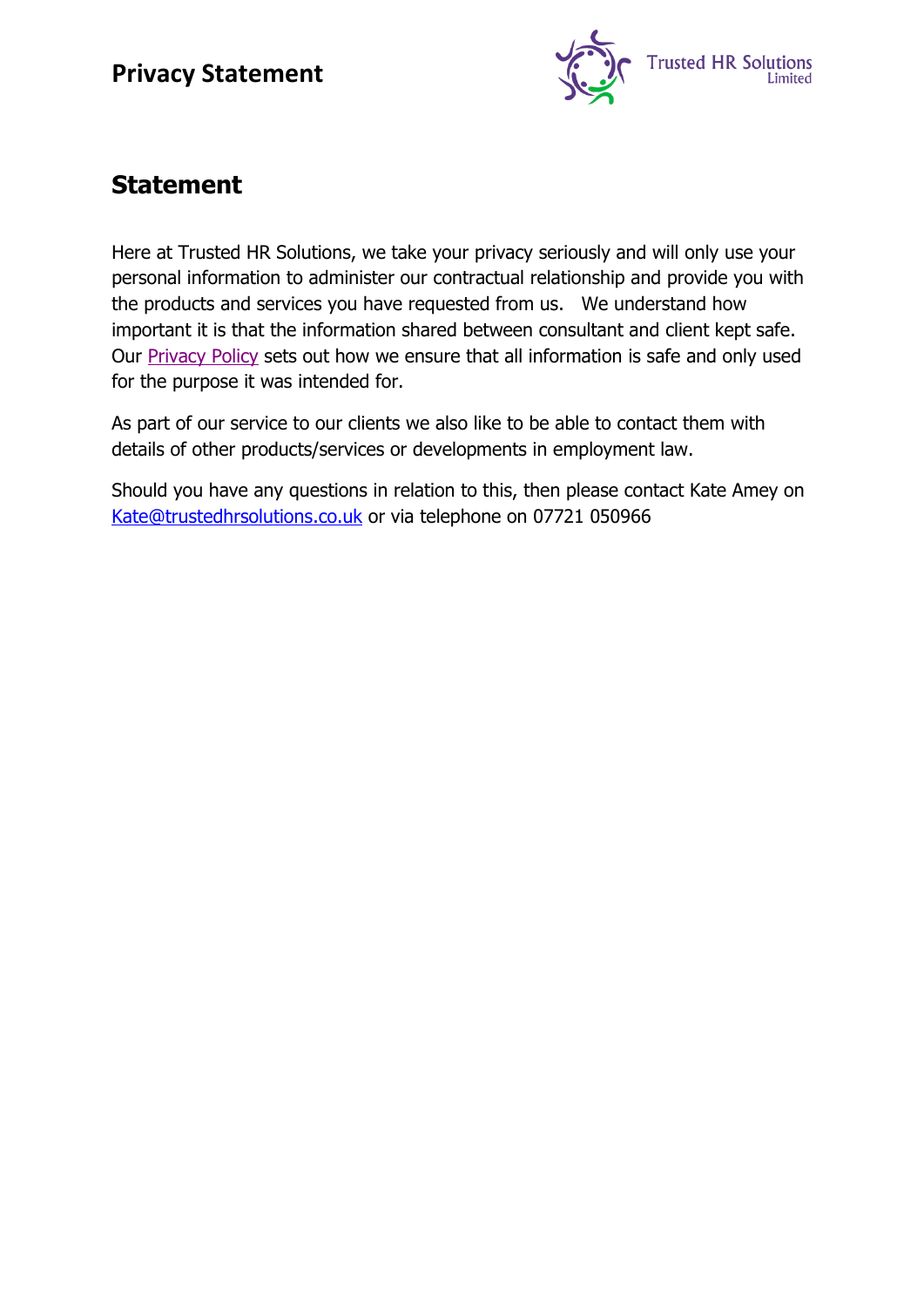

# **Statement**

Here at Trusted HR Solutions, we take your privacy seriously and will only use your personal information to administer our contractual relationship and provide you with the products and services you have requested from us. We understand how important it is that the information shared between consultant and client kept safe. Our [Privacy Policy](#page-1-0) sets out how we ensure that all information is safe and only used for the purpose it was intended for.

As part of our service to our clients we also like to be able to contact them with details of other products/services or developments in employment law.

Should you have any questions in relation to this, then please contact Kate Amey on [Kate@trustedhrsolutions.co.uk](mailto:Kate@trustedhrsolutions.co.uk) or via telephone on 07721 050966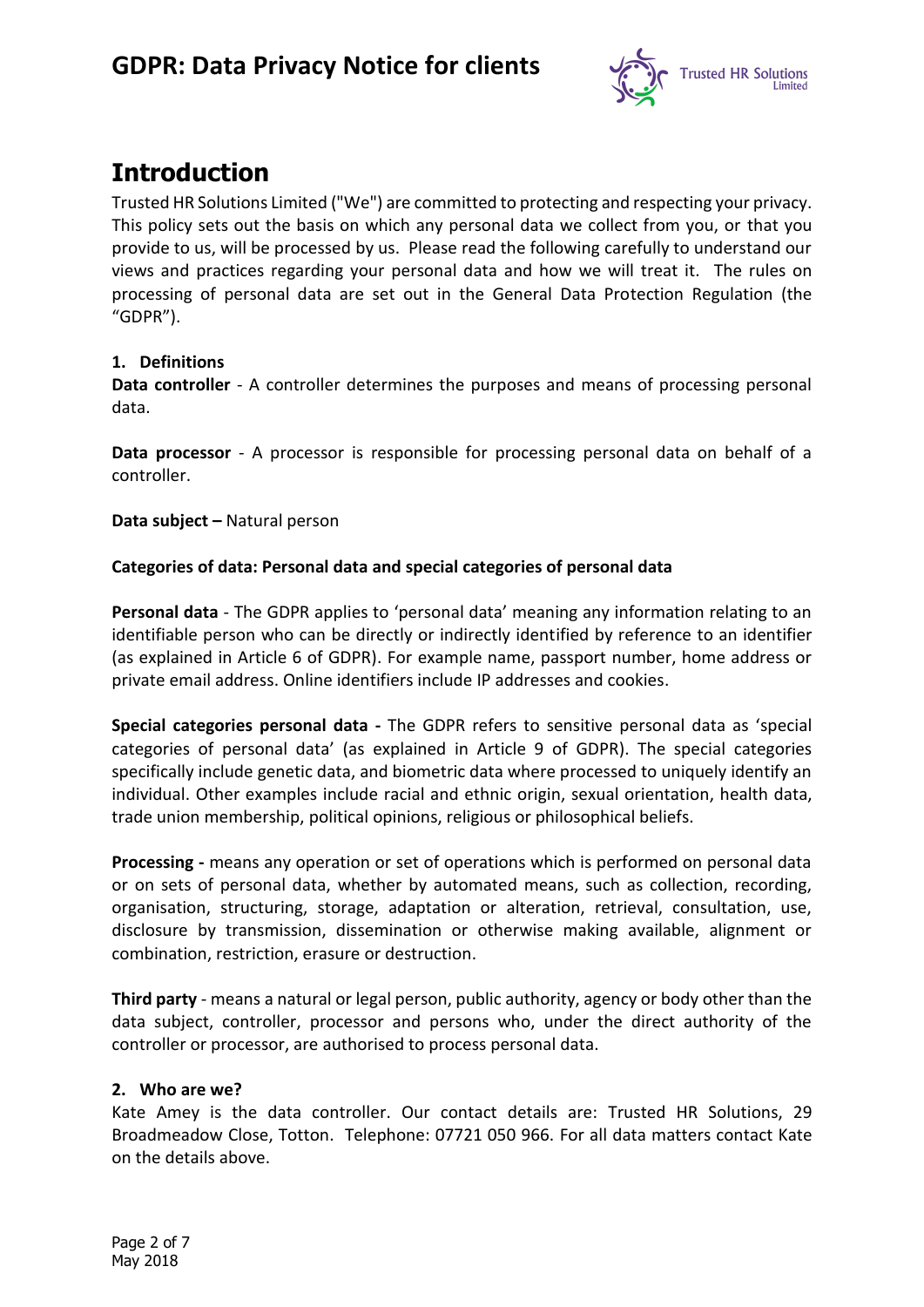

# <span id="page-1-0"></span>**Introduction**

Trusted HR Solutions Limited ("We") are committed to protecting and respecting your privacy. This policy sets out the basis on which any personal data we collect from you, or that you provide to us, will be processed by us. Please read the following carefully to understand our views and practices regarding your personal data and how we will treat it. The rules on processing of personal data are set out in the General Data Protection Regulation (the "GDPR").

### **1. Definitions**

**Data controller** - A controller determines the purposes and means of processing personal data.

**Data processor** - A processor is responsible for processing personal data on behalf of a controller.

**Data subject –** Natural person

### **Categories of data: Personal data and special categories of personal data**

**Personal data** - The GDPR applies to 'personal data' meaning any information relating to an identifiable person who can be directly or indirectly identified by reference to an identifier (as explained in Article 6 of GDPR). For example name, passport number, home address or private email address. Online identifiers include IP addresses and cookies.

**Special categories personal data -** The GDPR refers to sensitive personal data as 'special categories of personal data' (as explained in Article 9 of GDPR). The special categories specifically include genetic data, and biometric data where processed to uniquely identify an individual. Other examples include racial and ethnic origin, sexual orientation, health data, trade union membership, political opinions, religious or philosophical beliefs.

**Processing -** means any operation or set of operations which is performed on personal data or on sets of personal data, whether by automated means, such as collection, recording, organisation, structuring, storage, adaptation or alteration, retrieval, consultation, use, disclosure by transmission, dissemination or otherwise making available, alignment or combination, restriction, erasure or destruction.

**Third party** - means a natural or legal person, public authority, agency or body other than the data subject, controller, processor and persons who, under the direct authority of the controller or processor, are authorised to process personal data.

### **2. Who are we?**

Kate Amey is the data controller. Our contact details are: Trusted HR Solutions, 29 Broadmeadow Close, Totton. Telephone: 07721 050 966. For all data matters contact Kate on the details above.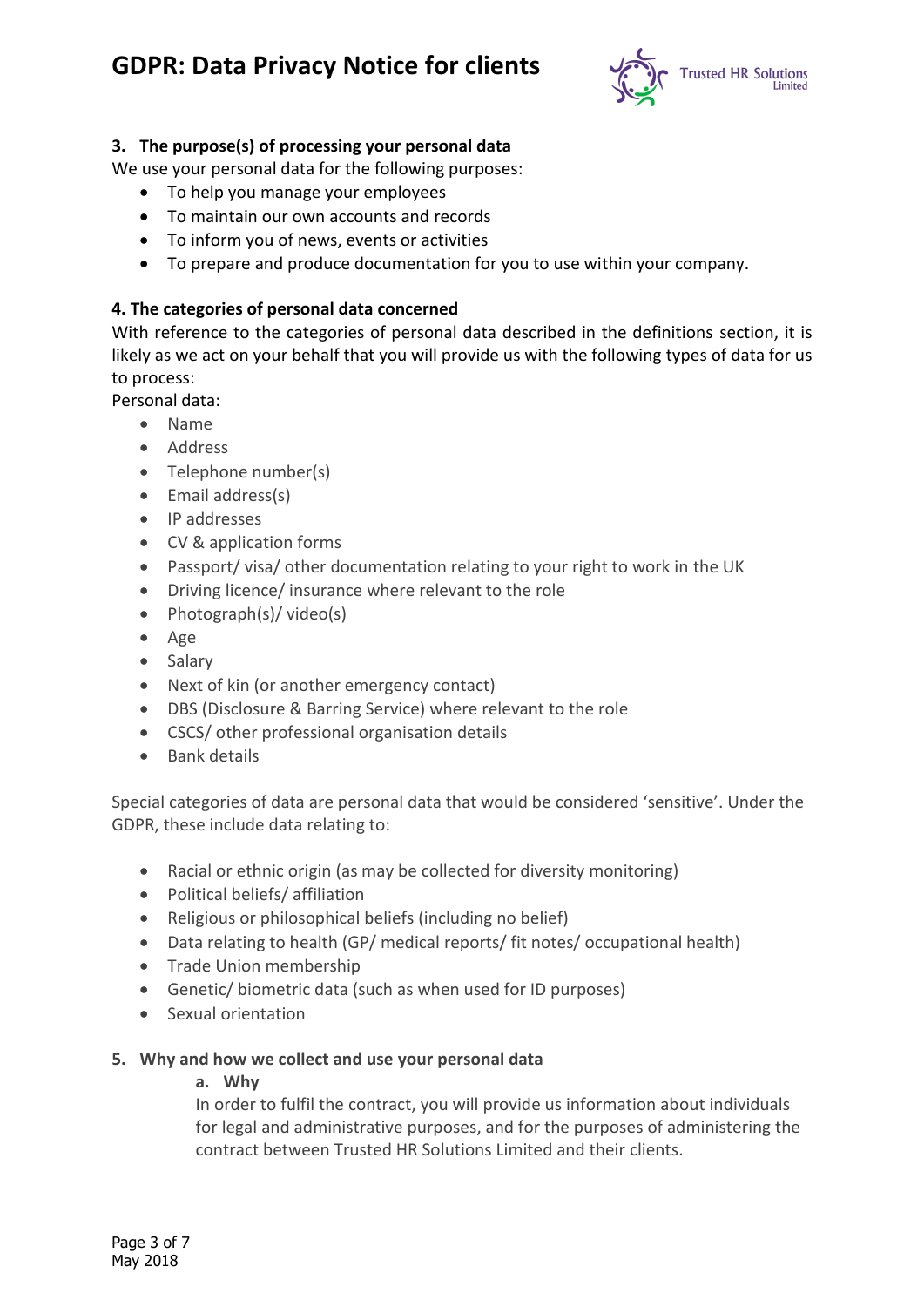

### **3. The purpose(s) of processing your personal data**

We use your personal data for the following purposes:

- To help you manage your employees
- To maintain our own accounts and records
- To inform you of news, events or activities
- To prepare and produce documentation for you to use within your company.

### **4. The categories of personal data concerned**

With reference to the categories of personal data described in the definitions section, it is likely as we act on your behalf that you will provide us with the following types of data for us to process:

Personal data:

- Name
- Address
- Telephone number(s)
- Email address(s)
- IP addresses
- CV & application forms
- Passport/ visa/ other documentation relating to your right to work in the UK
- Driving licence/ insurance where relevant to the role
- Photograph(s)/ video(s)
- Age
- Salary
- Next of kin (or another emergency contact)
- DBS (Disclosure & Barring Service) where relevant to the role
- CSCS/ other professional organisation details
- Bank details

Special categories of data are personal data that would be considered 'sensitive'. Under the GDPR, these include data relating to:

- Racial or ethnic origin (as may be collected for diversity monitoring)
- Political beliefs/ affiliation
- Religious or philosophical beliefs (including no belief)
- Data relating to health (GP/ medical reports/ fit notes/ occupational health)
- Trade Union membership
- Genetic/ biometric data (such as when used for ID purposes)
- Sexual orientation

### **5. Why and how we collect and use your personal data**

#### **a. Why**

In order to fulfil the contract, you will provide us information about individuals for legal and administrative purposes, and for the purposes of administering the contract between Trusted HR Solutions Limited and their clients.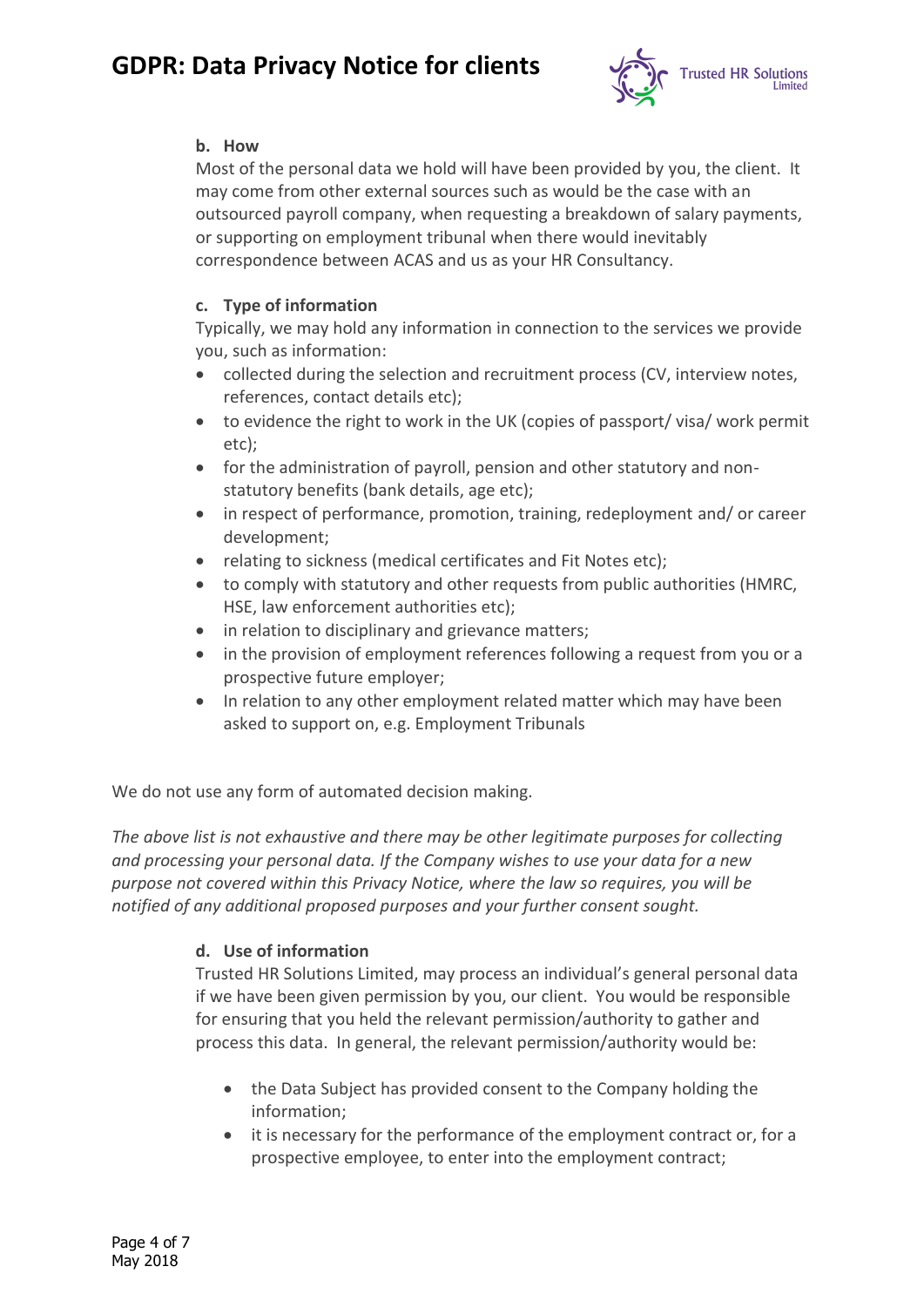

### **b. How**

Most of the personal data we hold will have been provided by you, the client. It may come from other external sources such as would be the case with an outsourced payroll company, when requesting a breakdown of salary payments, or supporting on employment tribunal when there would inevitably correspondence between ACAS and us as your HR Consultancy.

### **c. Type of information**

Typically, we may hold any information in connection to the services we provide you, such as information:

- collected during the selection and recruitment process (CV, interview notes, references, contact details etc);
- to evidence the right to work in the UK (copies of passport/ visa/ work permit etc);
- for the administration of payroll, pension and other statutory and nonstatutory benefits (bank details, age etc);
- in respect of performance, promotion, training, redeployment and/ or career development;
- relating to sickness (medical certificates and Fit Notes etc);
- to comply with statutory and other requests from public authorities (HMRC, HSE, law enforcement authorities etc);
- in relation to disciplinary and grievance matters;
- in the provision of employment references following a request from you or a prospective future employer;
- In relation to any other employment related matter which may have been asked to support on, e.g. Employment Tribunals

We do not use any form of automated decision making.

*The above list is not exhaustive and there may be other legitimate purposes for collecting and processing your personal data. If the Company wishes to use your data for a new purpose not covered within this Privacy Notice, where the law so requires, you will be notified of any additional proposed purposes and your further consent sought.*

## **d. Use of information**

Trusted HR Solutions Limited, may process an individual's general personal data if we have been given permission by you, our client. You would be responsible for ensuring that you held the relevant permission/authority to gather and process this data. In general, the relevant permission/authority would be:

- the Data Subject has provided consent to the Company holding the information;
- it is necessary for the performance of the employment contract or, for a prospective employee, to enter into the employment contract;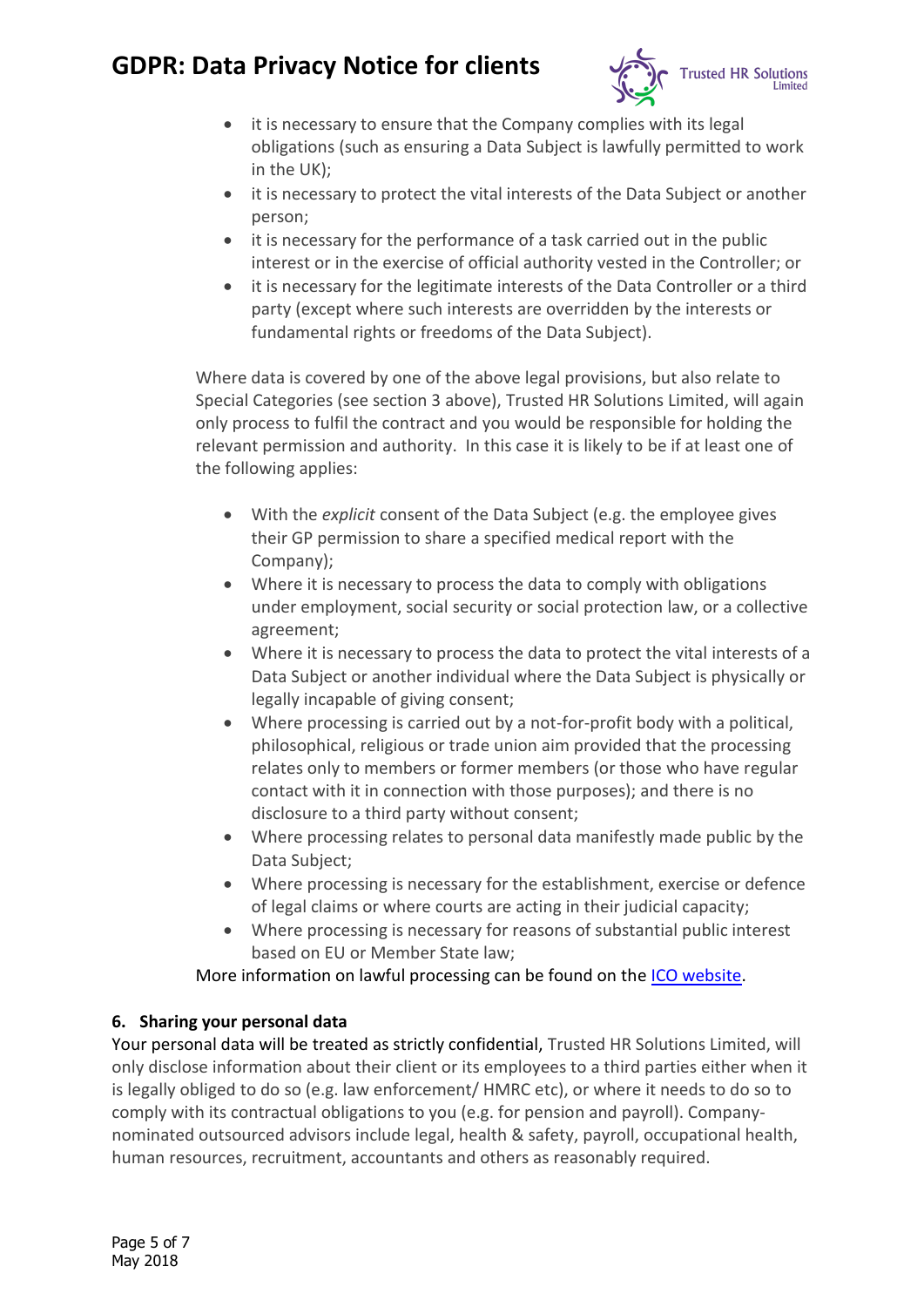

- it is necessary to ensure that the Company complies with its legal obligations (such as ensuring a Data Subject is lawfully permitted to work in the UK);
- it is necessary to protect the vital interests of the Data Subject or another person;
- it is necessary for the performance of a task carried out in the public interest or in the exercise of official authority vested in the Controller; or
- it is necessary for the legitimate interests of the Data Controller or a third party (except where such interests are overridden by the interests or fundamental rights or freedoms of the Data Subject).

Where data is covered by one of the above legal provisions, but also relate to Special Categories (see section 3 above), Trusted HR Solutions Limited, will again only process to fulfil the contract and you would be responsible for holding the relevant permission and authority. In this case it is likely to be if at least one of the following applies:

- With the *explicit* consent of the Data Subject (e.g. the employee gives their GP permission to share a specified medical report with the Company);
- Where it is necessary to process the data to comply with obligations under employment, social security or social protection law, or a collective agreement;
- Where it is necessary to process the data to protect the vital interests of a Data Subject or another individual where the Data Subject is physically or legally incapable of giving consent;
- Where processing is carried out by a not-for-profit body with a political, philosophical, religious or trade union aim provided that the processing relates only to members or former members (or those who have regular contact with it in connection with those purposes); and there is no disclosure to a third party without consent;
- Where processing relates to personal data manifestly made public by the Data Subject;
- Where processing is necessary for the establishment, exercise or defence of legal claims or where courts are acting in their judicial capacity;
- Where processing is necessary for reasons of substantial public interest based on EU or Member State law;

More information on lawful processing can be found on the [ICO website.](https://ico.org.uk/for-organisations/guide-to-the-general-data-protection-regulation-gdpr/lawful-basis-for-processing/)

## **6. Sharing your personal data**

Your personal data will be treated as strictly confidential, Trusted HR Solutions Limited, will only disclose information about their client or its employees to a third parties either when it is legally obliged to do so (e.g. law enforcement/ HMRC etc), or where it needs to do so to comply with its contractual obligations to you (e.g. for pension and payroll). Companynominated outsourced advisors include legal, health & safety, payroll, occupational health, human resources, recruitment, accountants and others as reasonably required.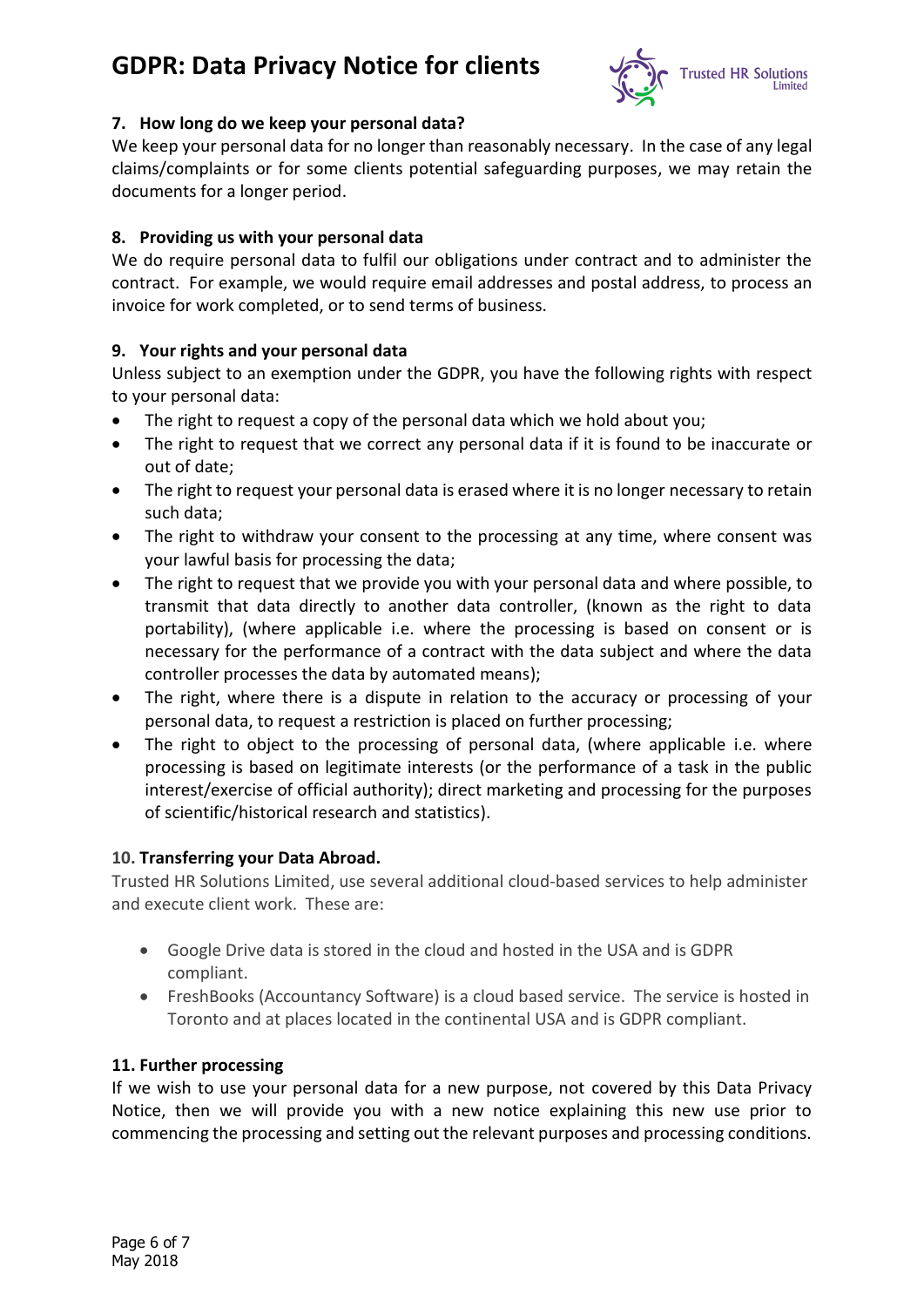

### **7. How long do we keep your personal data?**

We keep your personal data for no longer than reasonably necessary. In the case of any legal claims/complaints or for some clients potential safeguarding purposes, we may retain the documents for a longer period.

#### **8. Providing us with your personal data**

We do require personal data to fulfil our obligations under contract and to administer the contract. For example, we would require email addresses and postal address, to process an invoice for work completed, or to send terms of business.

### **9. Your rights and your personal data**

Unless subject to an exemption under the GDPR, you have the following rights with respect to your personal data:

- The right to request a copy of the personal data which we hold about you;
- The right to request that we correct any personal data if it is found to be inaccurate or out of date;
- The right to request your personal data is erased where it is no longer necessary to retain such data;
- The right to withdraw your consent to the processing at any time, where consent was your lawful basis for processing the data;
- The right to request that we provide you with your personal data and where possible, to transmit that data directly to another data controller, (known as the right to data portability), (where applicable i.e. where the processing is based on consent or is necessary for the performance of a contract with the data subject and where the data controller processes the data by automated means);
- The right, where there is a dispute in relation to the accuracy or processing of your personal data, to request a restriction is placed on further processing;
- The right to object to the processing of personal data, (where applicable i.e. where processing is based on legitimate interests (or the performance of a task in the public interest/exercise of official authority); direct marketing and processing for the purposes of scientific/historical research and statistics).

### **10. Transferring your Data Abroad.**

Trusted HR Solutions Limited, use several additional cloud-based services to help administer and execute client work. These are:

- Google Drive data is stored in the cloud and hosted in the USA and is GDPR compliant.
- FreshBooks (Accountancy Software) is a cloud based service. The service is hosted in Toronto and at places located in the continental USA and is GDPR compliant.

#### **11. Further processing**

If we wish to use your personal data for a new purpose, not covered by this Data Privacy Notice, then we will provide you with a new notice explaining this new use prior to commencing the processing and setting out the relevant purposes and processing conditions.